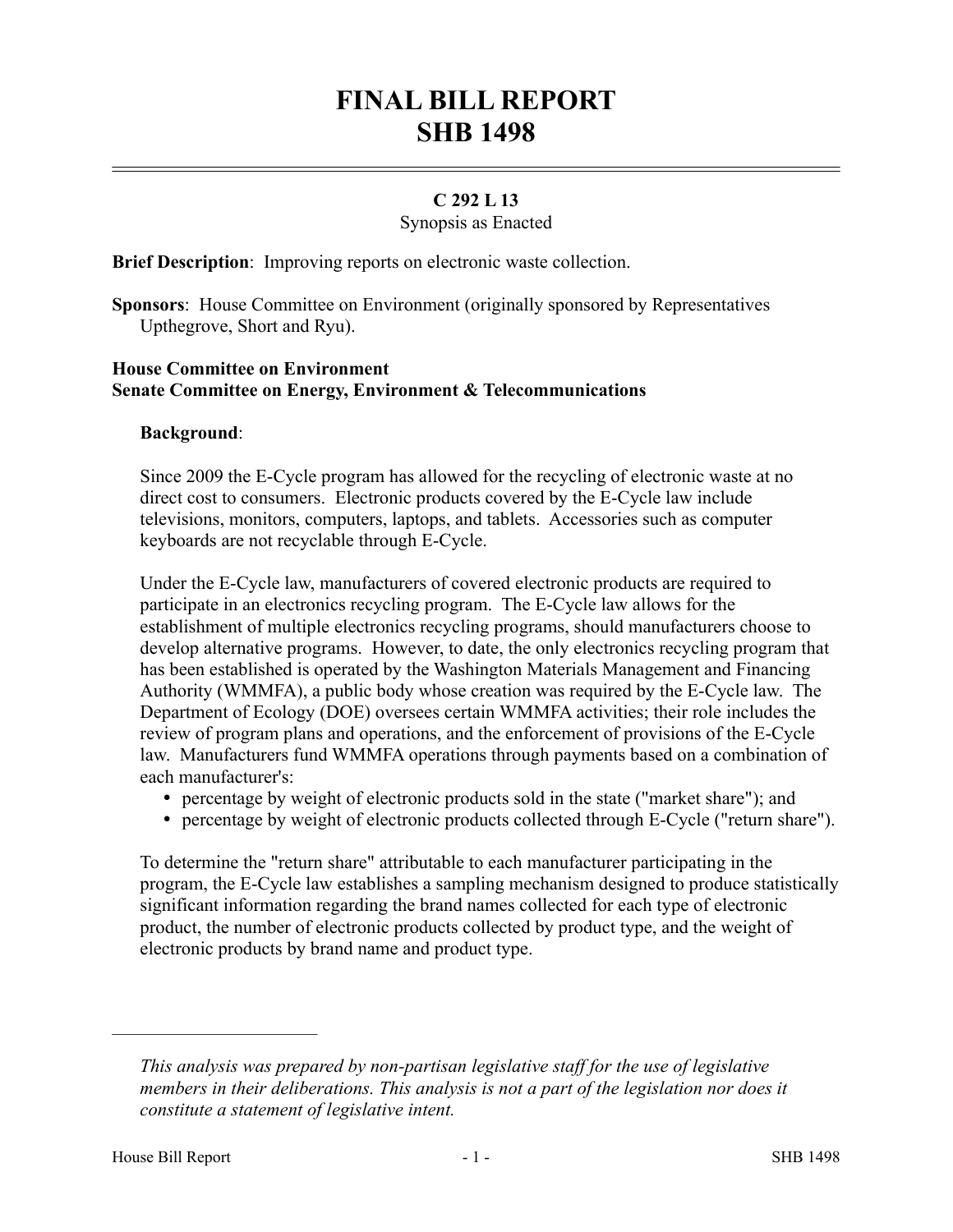# **FINAL BILL REPORT SHB 1498**

## **C 292 L 13**

#### Synopsis as Enacted

**Brief Description**: Improving reports on electronic waste collection.

**Sponsors**: House Committee on Environment (originally sponsored by Representatives Upthegrove, Short and Ryu).

### **House Committee on Environment Senate Committee on Energy, Environment & Telecommunications**

#### **Background**:

Since 2009 the E-Cycle program has allowed for the recycling of electronic waste at no direct cost to consumers. Electronic products covered by the E-Cycle law include televisions, monitors, computers, laptops, and tablets. Accessories such as computer keyboards are not recyclable through E-Cycle.

Under the E-Cycle law, manufacturers of covered electronic products are required to participate in an electronics recycling program. The E-Cycle law allows for the establishment of multiple electronics recycling programs, should manufacturers choose to develop alternative programs. However, to date, the only electronics recycling program that has been established is operated by the Washington Materials Management and Financing Authority (WMMFA), a public body whose creation was required by the E-Cycle law. The Department of Ecology (DOE) oversees certain WMMFA activities; their role includes the review of program plans and operations, and the enforcement of provisions of the E-Cycle law. Manufacturers fund WMMFA operations through payments based on a combination of each manufacturer's:

- percentage by weight of electronic products sold in the state ("market share"); and
- percentage by weight of electronic products collected through E-Cycle ("return share").

To determine the "return share" attributable to each manufacturer participating in the program, the E-Cycle law establishes a sampling mechanism designed to produce statistically significant information regarding the brand names collected for each type of electronic product, the number of electronic products collected by product type, and the weight of electronic products by brand name and product type.

––––––––––––––––––––––

*This analysis was prepared by non-partisan legislative staff for the use of legislative members in their deliberations. This analysis is not a part of the legislation nor does it constitute a statement of legislative intent.*